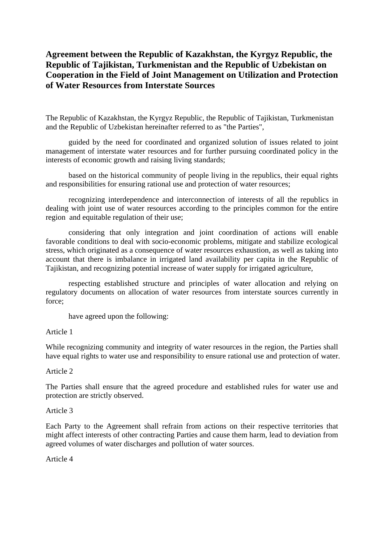# **Agreement between the Republic of Kazakhstan, the Kyrgyz Republic, the Republic of Tajikistan, Turkmenistan and the Republic of Uzbekistan on Cooperation in the Field of Joint Management on Utilization and Protection of Water Resources from Interstate Sources**

The Republic of Kazakhstan, the Kyrgyz Republic, the Republic of Tajikistan, Turkmenistan and the Republic of Uzbekistan hereinafter referred to as "the Parties",

guided by the need for coordinated and organized solution of issues related to joint management of interstate water resources and for further pursuing coordinated policy in the interests of economic growth and raising living standards;

based on the historical community of people living in the republics, their equal rights and responsibilities for ensuring rational use and protection of water resources;

recognizing interdependence and interconnection of interests of all the republics in dealing with joint use of water resources according to the principles common for the entire region and equitable regulation of their use;

considering that only integration and joint coordination of actions will enable favorable conditions to deal with socio-economic problems, mitigate and stabilize ecological stress, which originated as a consequence of water resources exhaustion, as well as taking into account that there is imbalance in irrigated land availability per capita in the Republic of Tajikistan, and recognizing potential increase of water supply for irrigated agriculture,

respecting established structure and principles of water allocation and relying on regulatory documents on allocation of water resources from interstate sources currently in force;

have agreed upon the following:

#### Article 1

While recognizing community and integrity of water resources in the region, the Parties shall have equal rights to water use and responsibility to ensure rational use and protection of water.

# Article 2

The Parties shall ensure that the agreed procedure and established rules for water use and protection are strictly observed.

#### Article 3

Each Party to the Agreement shall refrain from actions on their respective territories that might affect interests of other contracting Parties and cause them harm, lead to deviation from agreed volumes of water discharges and pollution of water sources.

#### Article 4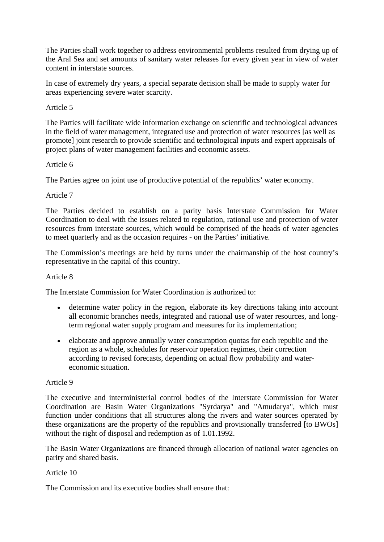The Parties shall work together to address environmental problems resulted from drying up of the Aral Sea and set amounts of sanitary water releases for every given year in view of water content in interstate sources.

In case of extremely dry years, a special separate decision shall be made to supply water for areas experiencing severe water scarcity.

# Article 5

The Parties will facilitate wide information exchange on scientific and technological advances in the field of water management, integrated use and protection of water resources [as well as promote] joint research to provide scientific and technological inputs and expert appraisals of project plans of water management facilities and economic assets.

# Article 6

The Parties agree on joint use of productive potential of the republics' water economy.

# Article 7

The Parties decided to establish on a parity basis Interstate Commission for Water Coordination to deal with the issues related to regulation, rational use and protection of water resources from interstate sources, which would be comprised of the heads of water agencies to meet quarterly and as the occasion requires - on the Parties' initiative.

The Commission's meetings are held by turns under the chairmanship of the host country's representative in the capital of this country.

# Article 8

The Interstate Commission for Water Coordination is authorized to:

- determine water policy in the region, elaborate its key directions taking into account all economic branches needs, integrated and rational use of water resources, and longterm regional water supply program and measures for its implementation;
- elaborate and approve annually water consumption quotas for each republic and the region as a whole, schedules for reservoir operation regimes, their correction according to revised forecasts, depending on actual flow probability and watereconomic situation.

# Article 9

The executive and interministerial control bodies of the Interstate Commission for Water Coordination are Basin Water Organizations "Syrdarya" and "Amudarya", which must function under conditions that all structures along the rivers and water sources operated by these organizations are the property of the republics and provisionally transferred [to BWOs] without the right of disposal and redemption as of 1.01.1992.

The Basin Water Organizations are financed through allocation of national water agencies on parity and shared basis.

# Article 10

The Commission and its executive bodies shall ensure that: